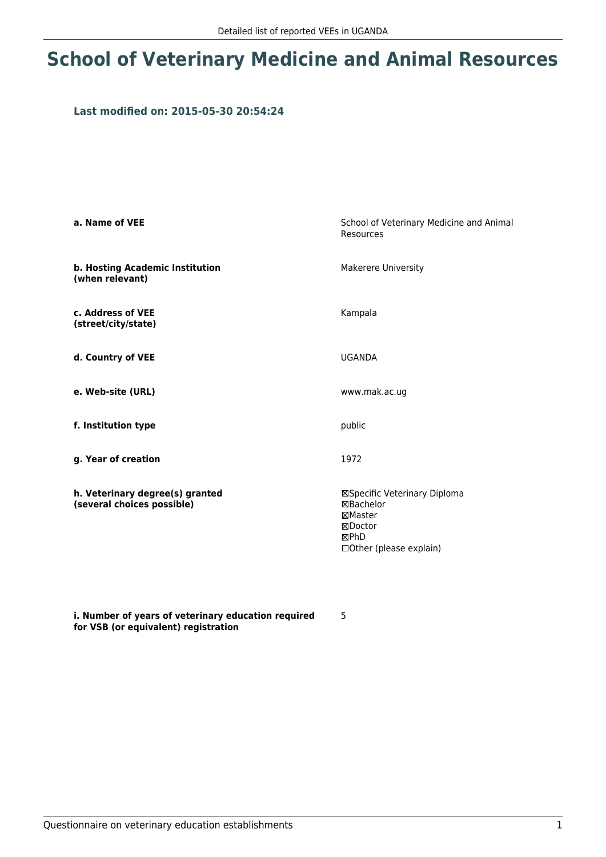## **School of Veterinary Medicine and Animal Resources**

## **Last modified on: 2015-05-30 20:54:24**

| a. Name of VEE                                                | School of Veterinary Medicine and Animal<br><b>Resources</b>                                       |  |
|---------------------------------------------------------------|----------------------------------------------------------------------------------------------------|--|
| b. Hosting Academic Institution<br>(when relevant)            | <b>Makerere University</b>                                                                         |  |
| c. Address of VEE<br>(street/city/state)                      | Kampala                                                                                            |  |
| d. Country of VEE                                             | <b>UGANDA</b>                                                                                      |  |
| e. Web-site (URL)                                             | www.mak.ac.ug                                                                                      |  |
| f. Institution type                                           | public                                                                                             |  |
| g. Year of creation                                           | 1972                                                                                               |  |
| h. Veterinary degree(s) granted<br>(several choices possible) | ⊠Specific Veterinary Diploma<br>⊠Bachelor<br>⊠Master<br>⊠Doctor<br>⊠PhD<br>□Other (please explain) |  |

**i. Number of years of veterinary education required for VSB (or equivalent) registration**

5